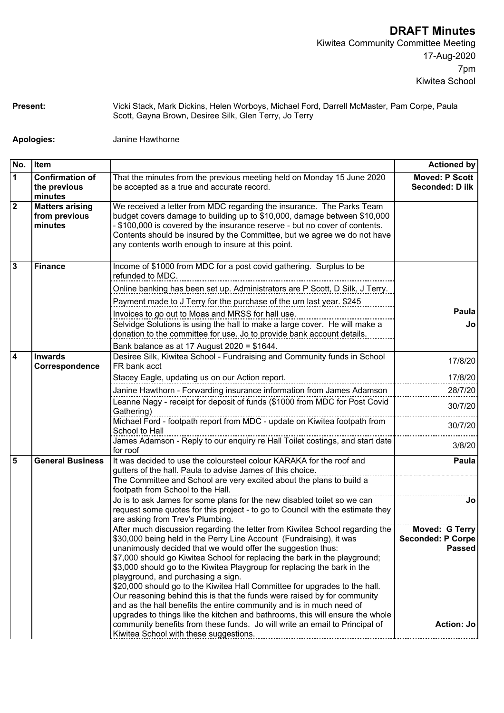**Present:** Vicki Stack, Mark Dickins, Helen Worboys, Michael Ford, Darrell McMaster, Pam Corpe, Paula Scott, Gayna Brown, Desiree Silk, Glen Terry, Jo Terry

**Apologies:** Janine Hawthorne

**No. Item Actioned by 1 Confirmation of the previous minutes** That the minutes from the previous meeting held on Monday 15 June 2020 be accepted as a true and accurate record. **Moved: P Scott Seconded: D ilk 2 Matters arising from previous minutes** We received a letter from MDC regarding the insurance. The Parks Team budget covers damage to building up to \$10,000, damage between \$10,000 - \$100,000 is covered by the insurance reserve - but no cover of contents. Contents should be insured by the Committee, but we agree we do not have any contents worth enough to insure at this point. **3 Finance** Income of \$1000 from MDC for a post covid gathering. Surplus to be refunded to MDC. Online banking has been set up. Administrators are P Scott, D Silk, J Terry. Payment made to J Terry for the purchase of the urn last year. \$245 International International International International International Invoices to go out to Moas and MRSS for hall use. Selvidge Solutions is using the hall to make a large cover. He will make a donation to the committee for use. Jo to provide bank account details. **Jo** Bank balance as at 17 August 2020 = \$1644. **4 Inwards Correspondence** Desiree Silk, Kiwitea School - Fundraising and Community funds in School FR bank acct 17/8/20 Stacey Eagle, updating us on our Action report. 17/8/20 Janine Hawthorn - Forwarding insurance information from James Adamson 28/7/20 Leanne Nagy - receipt for deposit of funds (\$1000 from MDC for Post Covid | 30/7/20<br>Gathering) Michael Ford - footpath report from MDC - update on Kiwitea footpath from School to Hall 30/7/20 James Adamson - Reply to our enquiry re Hall Toilet costings, and start date for roof 3/8/20 **5 General Business** It was decided to use the coloursteel colour KARAKA for the roof and gutters of the hall. Paula to advise James of this choice. **Paula** The Committee and School are very excited about the plans to build a footpath from School to the Hall. Jo is to ask James for some plans for the new disabled toilet so we can request some quotes for this project - to go to Council with the estimate they are asking from Trev's Plumbing. **Jo** After much discussion regarding the letter from Kiwitea School regarding the \$30,000 being held in the Perry Line Account (Fundraising), it was unanimously decided that we would offer the suggestion thus: \$7,000 should go Kiwitea School for replacing the bark in the playground; \$3,000 should go to the Kiwitea Playgroup for replacing the bark in the playground, and purchasing a sign. \$20,000 should go to the Kiwitea Hall Committee for upgrades to the hall. Our reasoning behind this is that the funds were raised by for community and as the hall benefits the entire community and is in much need of upgrades to things like the kitchen and bathrooms, this will ensure the whole community benefits from these funds. Jo will write an email to Principal of Kiwitea School with these suggestions. **Example 20 You Franch School with these** suggestions. **Moved: G Terry Seconded: P Corpe Passed Action: Jo**